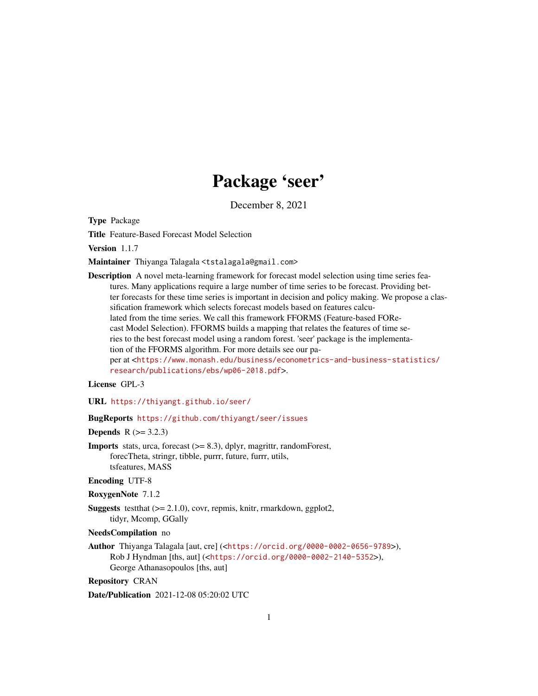# Package 'seer'

December 8, 2021

<span id="page-0-0"></span>Type Package

Title Feature-Based Forecast Model Selection

Version 1.1.7

Maintainer Thiyanga Talagala <tstalagala@gmail.com>

Description A novel meta-learning framework for forecast model selection using time series features. Many applications require a large number of time series to be forecast. Providing better forecasts for these time series is important in decision and policy making. We propose a classification framework which selects forecast models based on features calculated from the time series. We call this framework FFORMS (Feature-based FORecast Model Selection). FFORMS builds a mapping that relates the features of time series to the best forecast model using a random forest. 'seer' package is the implementation of the FFORMS algorithm. For more details see our paper at <[https://www.monash.edu/business/econometrics-and-business-statistics/](https://www.monash.edu/business/econometrics-and-business-statistics/research/publications/ebs/wp06-2018.pdf) [research/publications/ebs/wp06-2018.pdf](https://www.monash.edu/business/econometrics-and-business-statistics/research/publications/ebs/wp06-2018.pdf)>.

## License GPL-3

URL <https://thiyangt.github.io/seer/>

#### BugReports <https://github.com/thiyangt/seer/issues>

**Depends**  $R (= 3.2.3)$ 

Imports stats, urca, forecast (>= 8.3), dplyr, magrittr, randomForest, forecTheta, stringr, tibble, purrr, future, furrr, utils, tsfeatures, MASS

#### Encoding UTF-8

RoxygenNote 7.1.2

Suggests testthat (>= 2.1.0), covr, repmis, knitr, rmarkdown, ggplot2, tidyr, Mcomp, GGally

#### NeedsCompilation no

Author Thiyanga Talagala [aut, cre] (<<https://orcid.org/0000-0002-0656-9789>>), Rob J Hyndman [ths, aut] (<<https://orcid.org/0000-0002-2140-5352>>), George Athanasopoulos [ths, aut]

Repository CRAN

Date/Publication 2021-12-08 05:20:02 UTC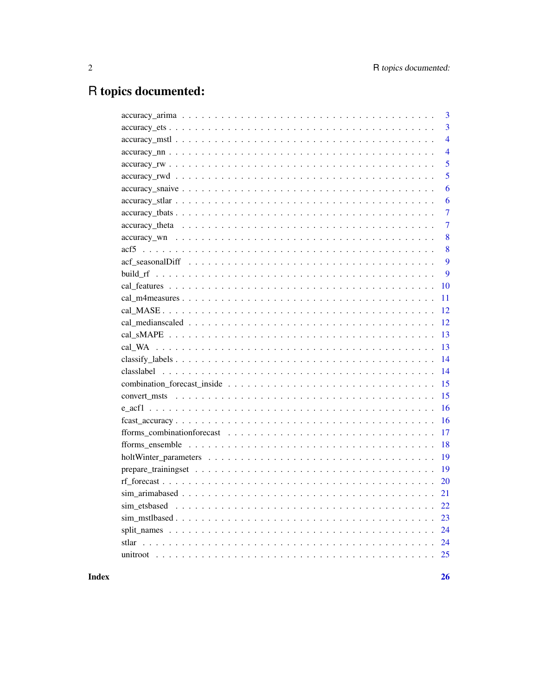## R topics documented:

| $\overline{3}$<br>$\overline{4}$<br>$\overline{4}$<br>5<br>5<br>6<br>6<br>$\overline{7}$<br>$\overline{7}$<br>8<br>8<br>9<br>9<br>10<br>11<br>12<br>12<br>13<br>13<br>14<br>14 |
|--------------------------------------------------------------------------------------------------------------------------------------------------------------------------------|
|                                                                                                                                                                                |
|                                                                                                                                                                                |
|                                                                                                                                                                                |
|                                                                                                                                                                                |
|                                                                                                                                                                                |
|                                                                                                                                                                                |
|                                                                                                                                                                                |
|                                                                                                                                                                                |
|                                                                                                                                                                                |
|                                                                                                                                                                                |
|                                                                                                                                                                                |
|                                                                                                                                                                                |
|                                                                                                                                                                                |
|                                                                                                                                                                                |
|                                                                                                                                                                                |
|                                                                                                                                                                                |
|                                                                                                                                                                                |
|                                                                                                                                                                                |
|                                                                                                                                                                                |
|                                                                                                                                                                                |
|                                                                                                                                                                                |
| 15                                                                                                                                                                             |
| 15                                                                                                                                                                             |
| 16                                                                                                                                                                             |
| 16                                                                                                                                                                             |
| 17                                                                                                                                                                             |
| 18                                                                                                                                                                             |
| 19                                                                                                                                                                             |
| 19                                                                                                                                                                             |
| 20                                                                                                                                                                             |
| 21                                                                                                                                                                             |
| 22                                                                                                                                                                             |
| 23                                                                                                                                                                             |
| 24                                                                                                                                                                             |
| 24                                                                                                                                                                             |
|                                                                                                                                                                                |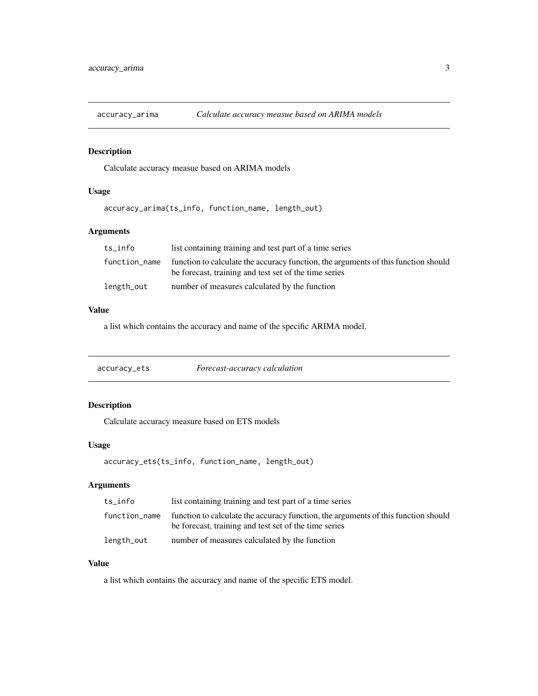<span id="page-2-0"></span>

Calculate accuracy measue based on ARIMA models

## Usage

accuracy\_arima(ts\_info, function\_name, length\_out)

## Arguments

| ts info       | list containing training and test part of a time series                                                                                     |
|---------------|---------------------------------------------------------------------------------------------------------------------------------------------|
| function_name | function to calculate the accuracy function, the arguments of this function should<br>be forecast, training and test set of the time series |
| length_out    | number of measures calculated by the function                                                                                               |

## Value

a list which contains the accuracy and name of the specific ARIMA model.

## Description

Calculate accuracy measure based on ETS models

## Usage

accuracy\_ets(ts\_info, function\_name, length\_out)

## Arguments

| ts_info       | list containing training and test part of a time series                                                                                     |
|---------------|---------------------------------------------------------------------------------------------------------------------------------------------|
| function_name | function to calculate the accuracy function, the arguments of this function should<br>be forecast, training and test set of the time series |
| length_out    | number of measures calculated by the function                                                                                               |

## Value

a list which contains the accuracy and name of the specific ETS model.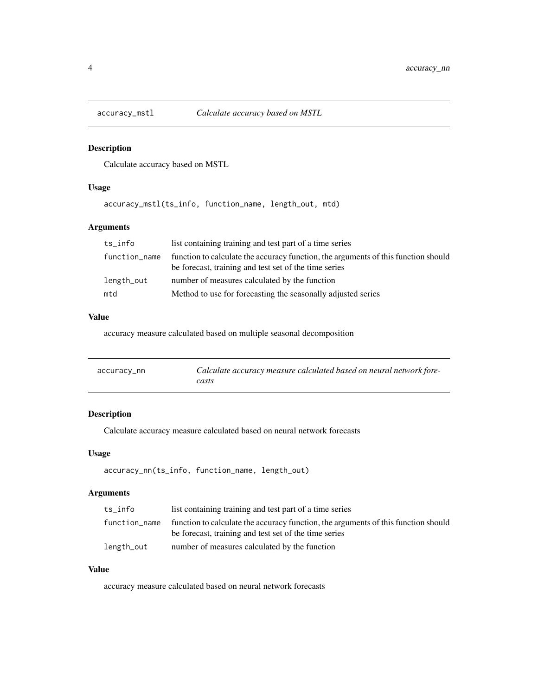<span id="page-3-0"></span>

Calculate accuracy based on MSTL

## Usage

accuracy\_mstl(ts\_info, function\_name, length\_out, mtd)

## Arguments

| ts_info       | list containing training and test part of a time series                                                                                     |  |
|---------------|---------------------------------------------------------------------------------------------------------------------------------------------|--|
| function_name | function to calculate the accuracy function, the arguments of this function should<br>be forecast, training and test set of the time series |  |
| length_out    | number of measures calculated by the function                                                                                               |  |
| mtd           | Method to use for forecasting the seasonally adjusted series                                                                                |  |

## Value

accuracy measure calculated based on multiple seasonal decomposition

| accuracy_nn | Calculate accuracy measure calculated based on neural network fore- |
|-------------|---------------------------------------------------------------------|
|             | casts                                                               |

## Description

Calculate accuracy measure calculated based on neural network forecasts

#### Usage

```
accuracy_nn(ts_info, function_name, length_out)
```
## Arguments

| ts info       | list containing training and test part of a time series                                                                                     |
|---------------|---------------------------------------------------------------------------------------------------------------------------------------------|
| function_name | function to calculate the accuracy function, the arguments of this function should<br>be forecast, training and test set of the time series |
| length_out    | number of measures calculated by the function                                                                                               |

## Value

accuracy measure calculated based on neural network forecasts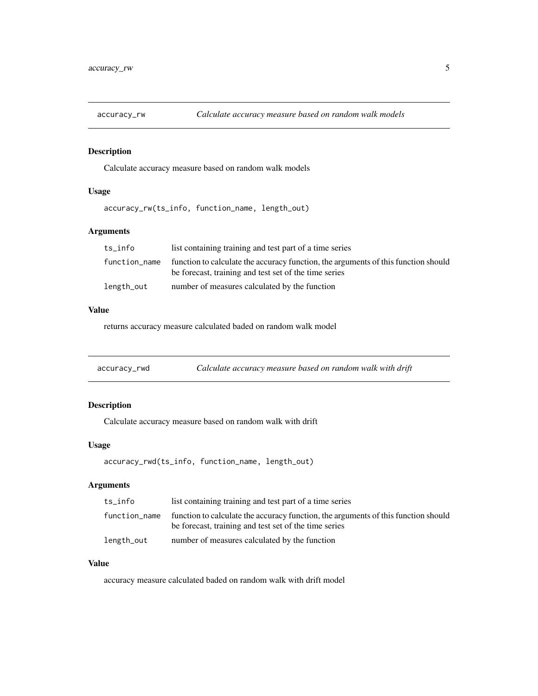<span id="page-4-0"></span>

Calculate accuracy measure based on random walk models

## Usage

accuracy\_rw(ts\_info, function\_name, length\_out)

## Arguments

| ts info       | list containing training and test part of a time series                                                                                     |
|---------------|---------------------------------------------------------------------------------------------------------------------------------------------|
| function_name | function to calculate the accuracy function, the arguments of this function should<br>be forecast, training and test set of the time series |
| length_out    | number of measures calculated by the function                                                                                               |

## Value

returns accuracy measure calculated baded on random walk model

| accuracy_rwd | Calculate accuracy measure based on random walk with drift |
|--------------|------------------------------------------------------------|
|--------------|------------------------------------------------------------|

## Description

Calculate accuracy measure based on random walk with drift

#### Usage

accuracy\_rwd(ts\_info, function\_name, length\_out)

## Arguments

| ts_info       | list containing training and test part of a time series                                                                                     |
|---------------|---------------------------------------------------------------------------------------------------------------------------------------------|
| function_name | function to calculate the accuracy function, the arguments of this function should<br>be forecast, training and test set of the time series |
| length_out    | number of measures calculated by the function                                                                                               |

## Value

accuracy measure calculated baded on random walk with drift model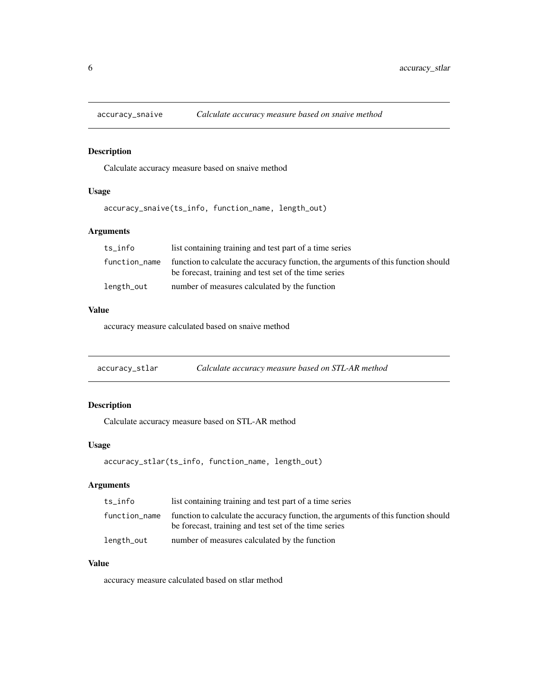<span id="page-5-0"></span>

Calculate accuracy measure based on snaive method

## Usage

accuracy\_snaive(ts\_info, function\_name, length\_out)

## Arguments

| ts info       | list containing training and test part of a time series                                                                                     |
|---------------|---------------------------------------------------------------------------------------------------------------------------------------------|
| function_name | function to calculate the accuracy function, the arguments of this function should<br>be forecast, training and test set of the time series |
| length_out    | number of measures calculated by the function                                                                                               |

## Value

accuracy measure calculated based on snaive method

| accuracy_stlar | Calculate accuracy measure based on STL-AR method |  |
|----------------|---------------------------------------------------|--|
|                |                                                   |  |

## Description

Calculate accuracy measure based on STL-AR method

## Usage

accuracy\_stlar(ts\_info, function\_name, length\_out)

## Arguments

| ts_info       | list containing training and test part of a time series                                                                                     |
|---------------|---------------------------------------------------------------------------------------------------------------------------------------------|
| function_name | function to calculate the accuracy function, the arguments of this function should<br>be forecast, training and test set of the time series |
| length_out    | number of measures calculated by the function                                                                                               |

## Value

accuracy measure calculated based on stlar method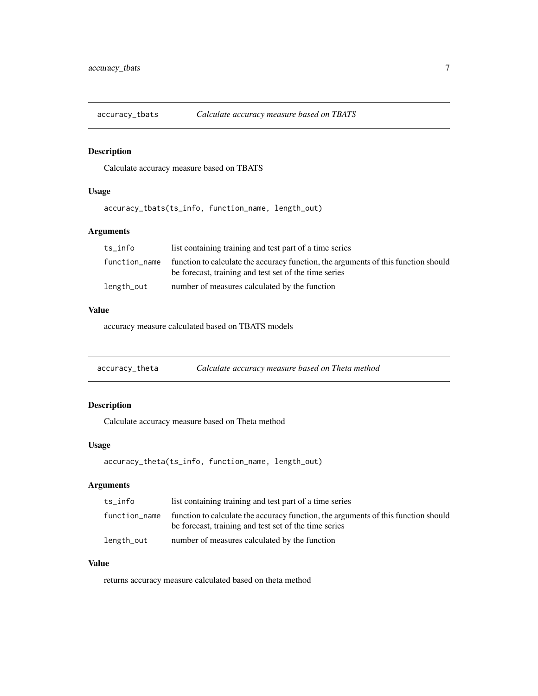<span id="page-6-0"></span>

Calculate accuracy measure based on TBATS

## Usage

accuracy\_tbats(ts\_info, function\_name, length\_out)

## Arguments

| ts info       | list containing training and test part of a time series                                                                                     |
|---------------|---------------------------------------------------------------------------------------------------------------------------------------------|
| function_name | function to calculate the accuracy function, the arguments of this function should<br>be forecast, training and test set of the time series |
| length_out    | number of measures calculated by the function                                                                                               |

## Value

accuracy measure calculated based on TBATS models

| accuracy_theta | Calculate accuracy measure based on Theta method |  |
|----------------|--------------------------------------------------|--|
|                |                                                  |  |

## Description

Calculate accuracy measure based on Theta method

#### Usage

accuracy\_theta(ts\_info, function\_name, length\_out)

## Arguments

| ts info       | list containing training and test part of a time series                                                                                     |
|---------------|---------------------------------------------------------------------------------------------------------------------------------------------|
| function_name | function to calculate the accuracy function, the arguments of this function should<br>be forecast, training and test set of the time series |
| length_out    | number of measures calculated by the function                                                                                               |

## Value

returns accuracy measure calculated based on theta method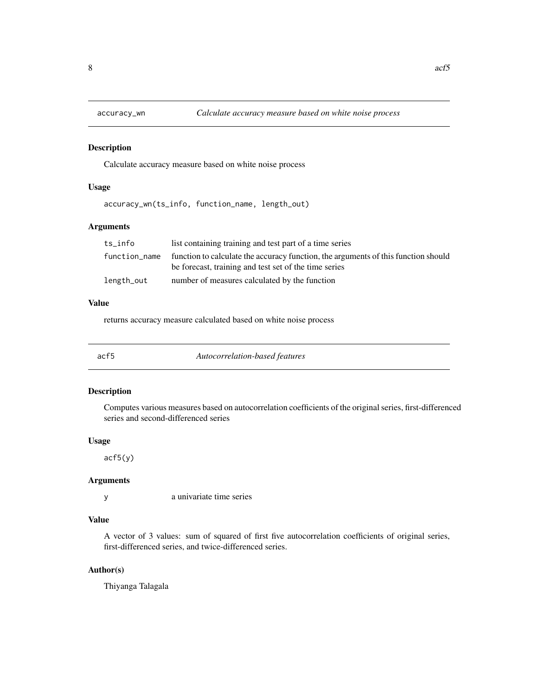<span id="page-7-0"></span>

Calculate accuracy measure based on white noise process

## Usage

accuracy\_wn(ts\_info, function\_name, length\_out)

## Arguments

| ts info       | list containing training and test part of a time series                                                                                     |
|---------------|---------------------------------------------------------------------------------------------------------------------------------------------|
| function_name | function to calculate the accuracy function, the arguments of this function should<br>be forecast, training and test set of the time series |
| length_out    | number of measures calculated by the function                                                                                               |

#### Value

returns accuracy measure calculated based on white noise process

| acf5<br>Autocorrelation-based features |  |
|----------------------------------------|--|
|----------------------------------------|--|

## Description

Computes various measures based on autocorrelation coefficients of the original series, first-differenced series and second-differenced series

#### Usage

acf5(y)

#### Arguments

y a univariate time series

#### Value

A vector of 3 values: sum of squared of first five autocorrelation coefficients of original series, first-differenced series, and twice-differenced series.

#### Author(s)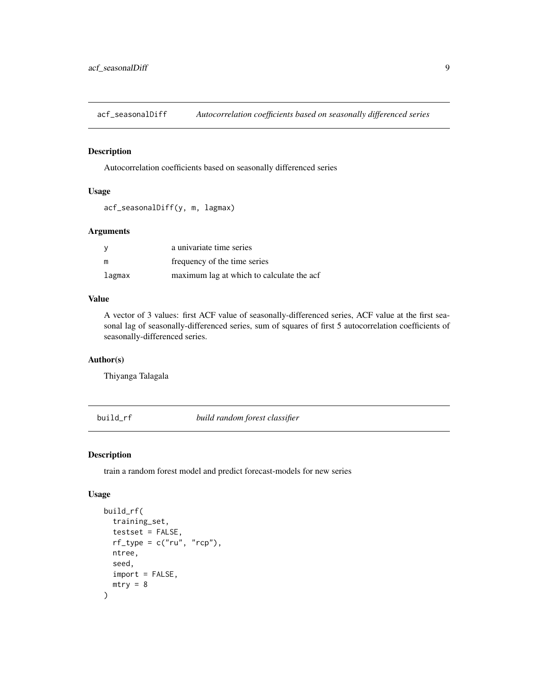<span id="page-8-0"></span>acf\_seasonalDiff *Autocorrelation coefficients based on seasonally differenced series*

## Description

Autocorrelation coefficients based on seasonally differenced series

#### Usage

```
acf_seasonalDiff(y, m, lagmax)
```
## Arguments

|        | a univariate time series                  |
|--------|-------------------------------------------|
| m      | frequency of the time series              |
| lagmax | maximum lag at which to calculate the acf |

## Value

A vector of 3 values: first ACF value of seasonally-differenced series, ACF value at the first seasonal lag of seasonally-differenced series, sum of squares of first 5 autocorrelation coefficients of seasonally-differenced series.

#### Author(s)

Thiyanga Talagala

build\_rf *build random forest classifier*

## Description

train a random forest model and predict forecast-models for new series

#### Usage

```
build_rf(
  training_set,
  testset = FALSE,
  rf_{type} = c("ru", "rcp"),
  ntree,
  seed,
  import = FALSE,
  mtry = 8)
```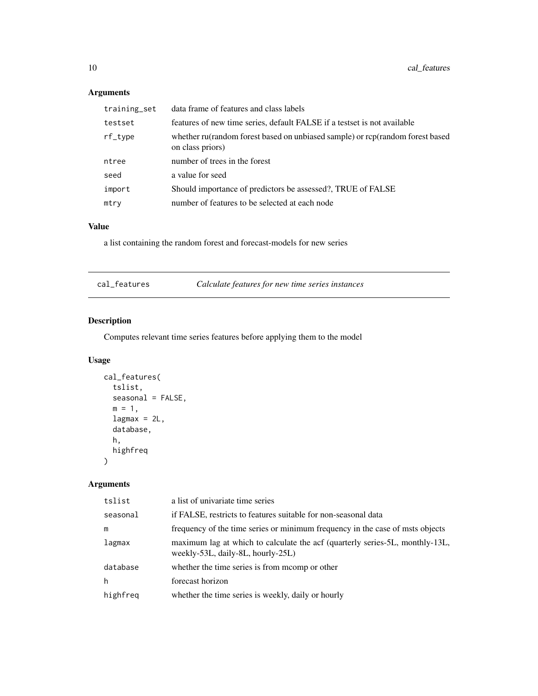## Arguments

| training_set | data frame of features and class labels                                                           |
|--------------|---------------------------------------------------------------------------------------------------|
| testset      | features of new time series, default FALSE if a testset is not available                          |
| rf_type      | whether ru(random forest based on unbiased sample) or rcp(random forest based<br>on class priors) |
| ntree        | number of trees in the forest                                                                     |
| seed         | a value for seed                                                                                  |
| import       | Should importance of predictors be assessed?, TRUE of FALSE                                       |
| mtry         | number of features to be selected at each node                                                    |

## Value

a list containing the random forest and forecast-models for new series

| cal features |  |
|--------------|--|
|              |  |

cal\_features *Calculate features for new time series instances*

## Description

Computes relevant time series features before applying them to the model

## Usage

```
cal_features(
  tslist,
  seasonal = FALSE,
  m = 1,
  lagmax = 2L,
  database,
  h,
  highfreq
\mathcal{L}
```
## Arguments

| tslist   | a list of univariate time series                                                                                  |
|----------|-------------------------------------------------------------------------------------------------------------------|
| seasonal | if FALSE, restricts to features suitable for non-seasonal data                                                    |
| m        | frequency of the time series or minimum frequency in the case of msts objects                                     |
| lagmax   | maximum lag at which to calculate the acf (quarterly series-5L, monthly-13L,<br>weekly-53L, daily-8L, hourly-25L) |
| database | whether the time series is from mcomp or other                                                                    |
| h        | forecast horizon                                                                                                  |
| highfreq | whether the time series is weekly, daily or hourly                                                                |

<span id="page-9-0"></span>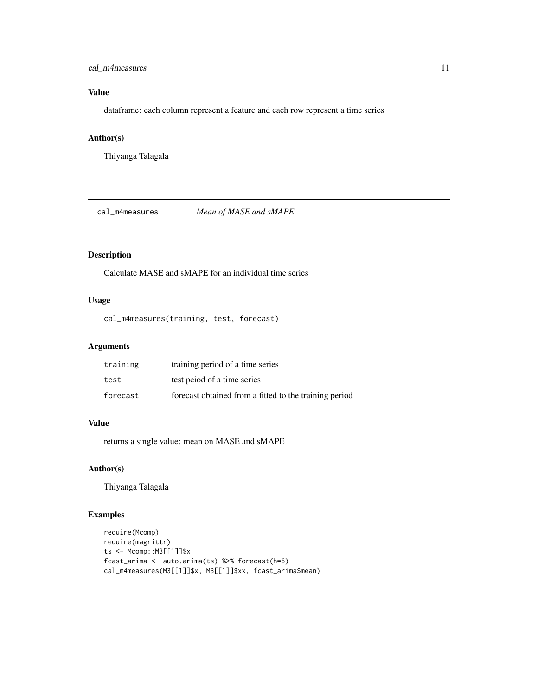## <span id="page-10-0"></span>cal\_m4measures 11

## Value

dataframe: each column represent a feature and each row represent a time series

## Author(s)

Thiyanga Talagala

cal\_m4measures *Mean of MASE and sMAPE*

## Description

Calculate MASE and sMAPE for an individual time series

## Usage

cal\_m4measures(training, test, forecast)

## Arguments

| training | training period of a time series                       |
|----------|--------------------------------------------------------|
| test     | test peiod of a time series                            |
| forecast | forecast obtained from a fitted to the training period |

## Value

returns a single value: mean on MASE and sMAPE

## Author(s)

Thiyanga Talagala

## Examples

```
require(Mcomp)
require(magrittr)
ts <- Mcomp::M3[[1]]$x
fcast_arima <- auto.arima(ts) %>% forecast(h=6)
cal_m4measures(M3[[1]]$x, M3[[1]]$xx, fcast_arima$mean)
```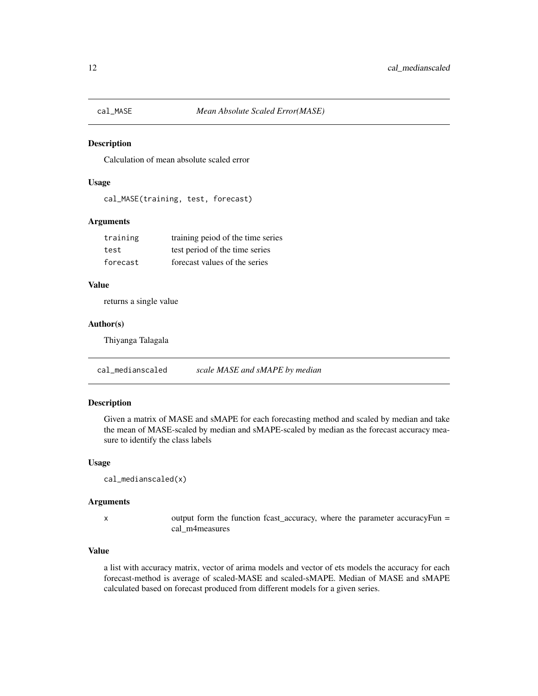<span id="page-11-0"></span>

Calculation of mean absolute scaled error

## Usage

cal\_MASE(training, test, forecast)

## Arguments

| training | training peiod of the time series |
|----------|-----------------------------------|
| test     | test period of the time series    |
| forecast | forecast values of the series     |

### Value

returns a single value

#### Author(s)

Thiyanga Talagala

cal\_medianscaled *scale MASE and sMAPE by median*

## Description

Given a matrix of MASE and sMAPE for each forecasting method and scaled by median and take the mean of MASE-scaled by median and sMAPE-scaled by median as the forecast accuracy measure to identify the class labels

#### Usage

```
cal_medianscaled(x)
```
#### Arguments

 $x$  output form the function fcast\_accuracy, where the parameter accuracyFun = cal\_m4measures

#### Value

a list with accuracy matrix, vector of arima models and vector of ets models the accuracy for each forecast-method is average of scaled-MASE and scaled-sMAPE. Median of MASE and sMAPE calculated based on forecast produced from different models for a given series.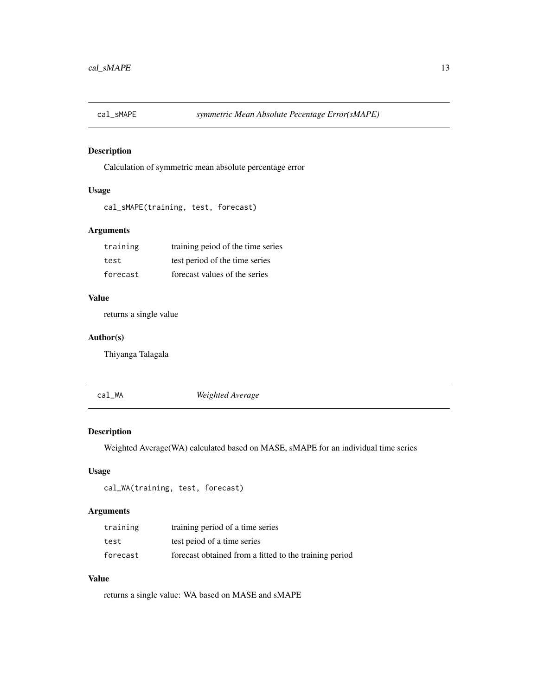<span id="page-12-0"></span>

Calculation of symmetric mean absolute percentage error

## Usage

```
cal_sMAPE(training, test, forecast)
```
## Arguments

| training | training peiod of the time series |
|----------|-----------------------------------|
| test     | test period of the time series    |
| forecast | forecast values of the series     |

## Value

returns a single value

#### Author(s)

Thiyanga Talagala

cal\_WA *Weighted Average*

## Description

Weighted Average(WA) calculated based on MASE, sMAPE for an individual time series

## Usage

```
cal_WA(training, test, forecast)
```
## Arguments

| training | training period of a time series                       |
|----------|--------------------------------------------------------|
| test     | test peiod of a time series                            |
| forecast | forecast obtained from a fitted to the training period |

## Value

returns a single value: WA based on MASE and sMAPE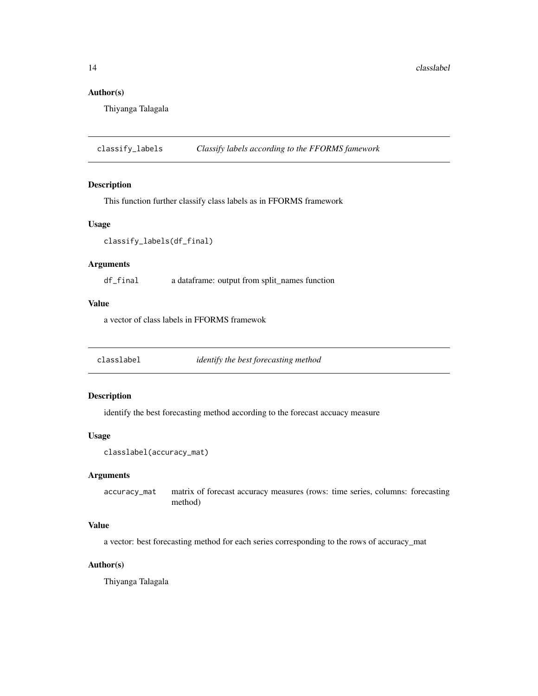## <span id="page-13-0"></span>Author(s)

Thiyanga Talagala

classify\_labels *Classify labels according to the FFORMS famework*

#### Description

This function further classify class labels as in FFORMS framework

#### Usage

classify\_labels(df\_final)

#### Arguments

df\_final a dataframe: output from split\_names function

#### Value

a vector of class labels in FFORMS framewok

classlabel *identify the best forecasting method*

## Description

identify the best forecasting method according to the forecast accuacy measure

#### Usage

```
classlabel(accuracy_mat)
```
#### Arguments

accuracy\_mat matrix of forecast accuracy measures (rows: time series, columns: forecasting method)

## Value

a vector: best forecasting method for each series corresponding to the rows of accuracy\_mat

## Author(s)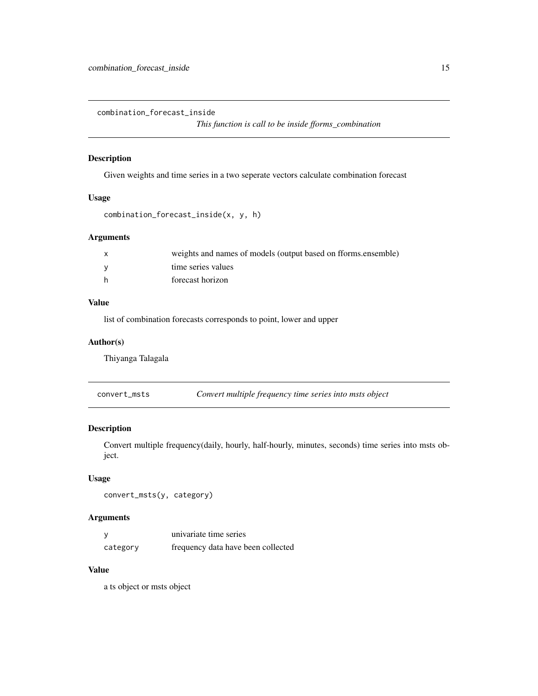<span id="page-14-0"></span>combination\_forecast\_inside

*This function is call to be inside fforms\_combination*

## Description

Given weights and time series in a two seperate vectors calculate combination forecast

## Usage

```
combination_forecast_inside(x, y, h)
```
## Arguments

| X   | weights and names of models (output based on fforms.ensemble) |
|-----|---------------------------------------------------------------|
| - V | time series values                                            |
| h   | forecast horizon                                              |

#### Value

list of combination forecasts corresponds to point, lower and upper

#### Author(s)

Thiyanga Talagala

| convert_msts | Convert multiple frequency time series into msts object |  |
|--------------|---------------------------------------------------------|--|
|--------------|---------------------------------------------------------|--|

#### Description

Convert multiple frequency(daily, hourly, half-hourly, minutes, seconds) time series into msts object.

## Usage

```
convert_msts(y, category)
```
## Arguments

|          | univariate time series             |
|----------|------------------------------------|
| category | frequency data have been collected |

## Value

a ts object or msts object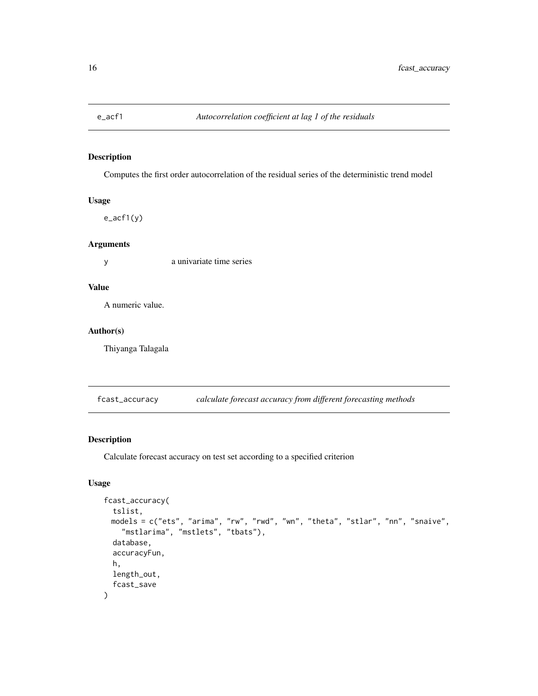<span id="page-15-0"></span>

Computes the first order autocorrelation of the residual series of the deterministic trend model

#### Usage

e\_acf1(y)

## Arguments

y a univariate time series

## Value

A numeric value.

#### Author(s)

Thiyanga Talagala

fcast\_accuracy *calculate forecast accuracy from different forecasting methods*

## Description

Calculate forecast accuracy on test set according to a specified criterion

## Usage

```
fcast_accuracy(
  tslist,
 models = c("ets", "arima", "rw", "rwd", "wn", "theta", "stlar", "nn", "snaive",
    "mstlarima", "mstlets", "tbats"),
  database,
  accuracyFun,
 h,
  length_out,
  fcast_save
\mathcal{E}
```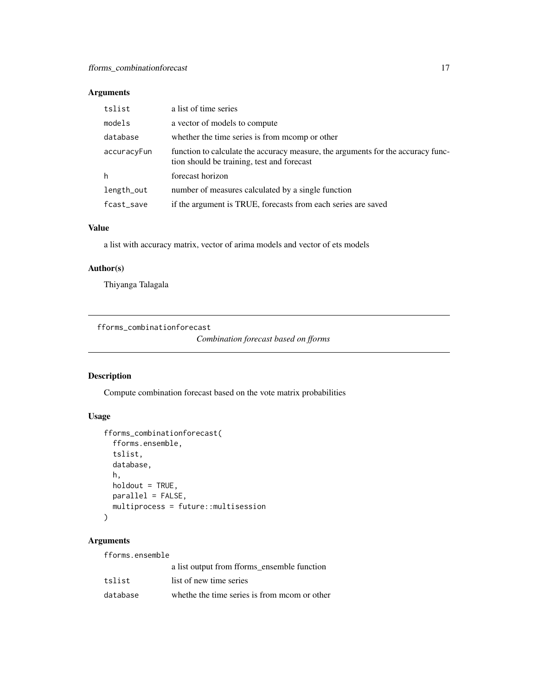## <span id="page-16-0"></span>Arguments

| tslist      | a list of time series                                                                                                          |
|-------------|--------------------------------------------------------------------------------------------------------------------------------|
| models      | a vector of models to compute                                                                                                  |
| database    | whether the time series is from mcomp or other                                                                                 |
| accuracyFun | function to calculate the accuracy measure, the arguments for the accuracy func-<br>tion should be training, test and forecast |
| h           | forecast horizon                                                                                                               |
| length_out  | number of measures calculated by a single function                                                                             |
| fcast_save  | if the argument is TRUE, forecasts from each series are saved                                                                  |

## Value

a list with accuracy matrix, vector of arima models and vector of ets models

## Author(s)

Thiyanga Talagala

fforms\_combinationforecast

```
Combination forecast based on fforms
```
## Description

Compute combination forecast based on the vote matrix probabilities

## Usage

```
fforms_combinationforecast(
  fforms.ensemble,
  tslist,
  database,
 h,
 holdout = TRUE,
 parallel = FALSE,
 multiprocess = future::multisession
)
```
## Arguments

fforms.ensemble

|          | a list output from fforms_ensemble function  |
|----------|----------------------------------------------|
| tslist   | list of new time series                      |
| database | whethe the time series is from moom or other |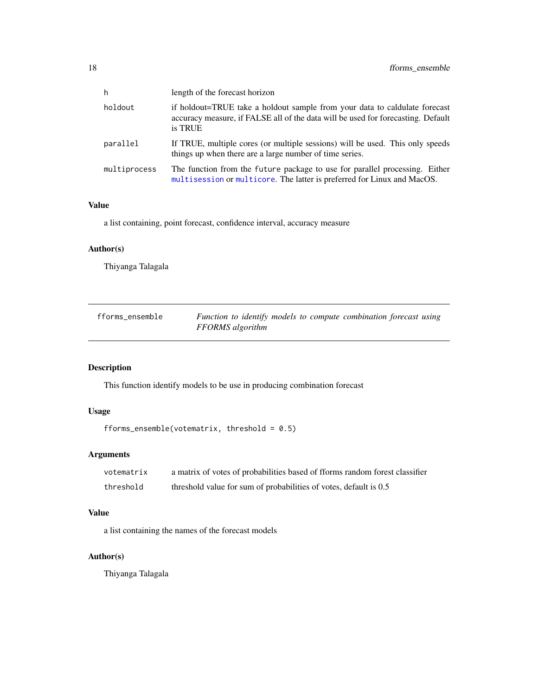<span id="page-17-0"></span>

| h            | length of the forecast horizon                                                                                                                                            |
|--------------|---------------------------------------------------------------------------------------------------------------------------------------------------------------------------|
| holdout      | if holdout=TRUE take a holdout sample from your data to caldulate forecast<br>accuracy measure, if FALSE all of the data will be used for forecasting. Default<br>is TRUE |
| parallel     | If TRUE, multiple cores (or multiple sessions) will be used. This only speeds<br>things up when there are a large number of time series.                                  |
| multiprocess | The function from the future package to use for parallel processing. Either<br>multisession or multicore. The latter is preferred for Linux and MacOS.                    |

## Value

a list containing, point forecast, confidence interval, accuracy measure

#### Author(s)

Thiyanga Talagala

| fforms_ensemble | Function to identify models to compute combination forecast using |
|-----------------|-------------------------------------------------------------------|
|                 | FFORMS algorithm                                                  |

## Description

This function identify models to be use in producing combination forecast

## Usage

```
fforms_ensemble(votematrix, threshold = 0.5)
```
## Arguments

| votematrix | a matrix of votes of probabilities based of fforms random forest classifier |
|------------|-----------------------------------------------------------------------------|
| threshold  | threshold value for sum of probabilities of votes, default is 0.5           |

#### Value

a list containing the names of the forecast models

## Author(s)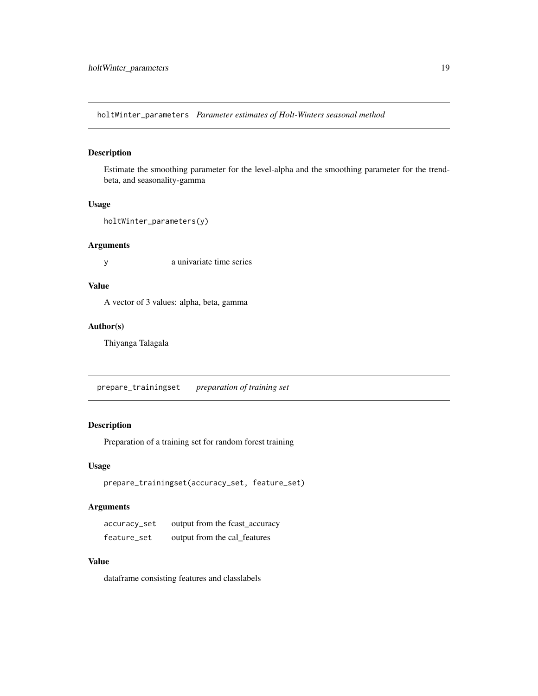<span id="page-18-0"></span>holtWinter\_parameters *Parameter estimates of Holt-Winters seasonal method*

#### Description

Estimate the smoothing parameter for the level-alpha and the smoothing parameter for the trendbeta, and seasonality-gamma

## Usage

```
holtWinter_parameters(y)
```
#### Arguments

y a univariate time series

## Value

A vector of 3 values: alpha, beta, gamma

#### Author(s)

Thiyanga Talagala

prepare\_trainingset *preparation of training set*

## Description

Preparation of a training set for random forest training

#### Usage

```
prepare_trainingset(accuracy_set, feature_set)
```
## Arguments

| accuracy_set | output from the fcast_accuracy |
|--------------|--------------------------------|
| feature_set  | output from the cal_features   |

#### Value

dataframe consisting features and classlabels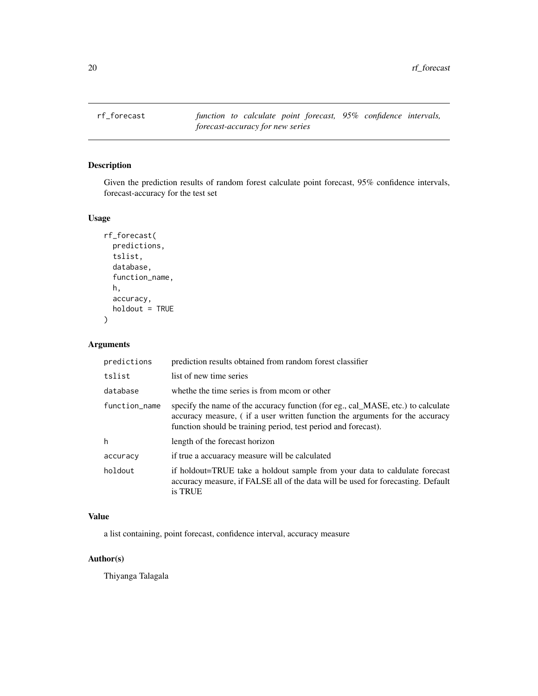<span id="page-19-0"></span>rf\_forecast *function to calculate point forecast, 95% confidence intervals, forecast-accuracy for new series*

## Description

Given the prediction results of random forest calculate point forecast, 95% confidence intervals, forecast-accuracy for the test set

## Usage

```
rf_forecast(
  predictions,
  tslist,
  database,
  function_name,
  h,
  accuracy,
  holdout = TRUE
\mathcal{E}
```
## Arguments

| predictions   | prediction results obtained from random forest classifier                                                                                                                                                                          |
|---------------|------------------------------------------------------------------------------------------------------------------------------------------------------------------------------------------------------------------------------------|
| tslist        | list of new time series                                                                                                                                                                                                            |
| database      | whethe the time series is from moom or other                                                                                                                                                                                       |
| function_name | specify the name of the accuracy function (for eg., cal_MASE, etc.) to calculate<br>accuracy measure, (if a user written function the arguments for the accuracy<br>function should be training period, test period and forecast). |
| h             | length of the forecast horizon                                                                                                                                                                                                     |
| accuracy      | if true a accuaracy measure will be calculated                                                                                                                                                                                     |
| holdout       | if holdout=TRUE take a holdout sample from your data to caldulate forecast<br>accuracy measure, if FALSE all of the data will be used for forecasting. Default<br>is TRUE                                                          |

#### Value

a list containing, point forecast, confidence interval, accuracy measure

## Author(s)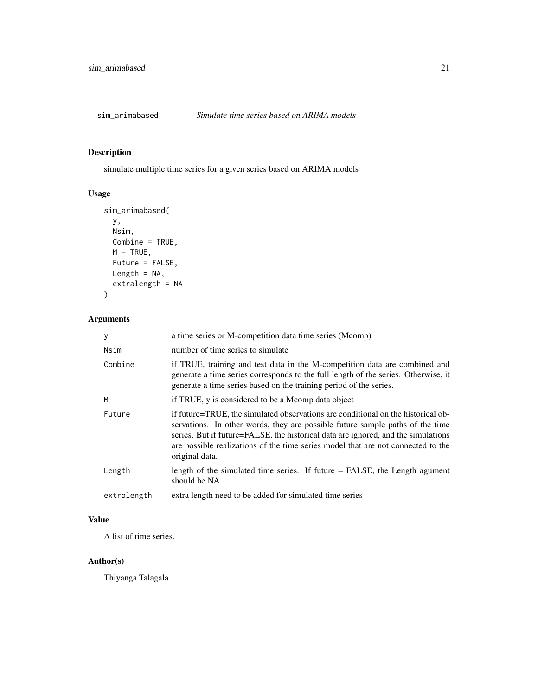<span id="page-20-0"></span>

simulate multiple time series for a given series based on ARIMA models

## Usage

```
sim_arimabased(
 y,
 Nsim,
 Combine = TRUE,
 M = TRUE,Future = FALSE,
 Length = NA,
 extralength = NA
)
```
## Arguments

| У           | a time series or M-competition data time series (Mcomp)                                                                                                                                                                                                                                                                                                      |
|-------------|--------------------------------------------------------------------------------------------------------------------------------------------------------------------------------------------------------------------------------------------------------------------------------------------------------------------------------------------------------------|
| Nsim        | number of time series to simulate                                                                                                                                                                                                                                                                                                                            |
| Combine     | if TRUE, training and test data in the M-competition data are combined and<br>generate a time series corresponds to the full length of the series. Otherwise, it<br>generate a time series based on the training period of the series.                                                                                                                       |
| M           | if TRUE, y is considered to be a Mcomp data object                                                                                                                                                                                                                                                                                                           |
| Future      | if future=TRUE, the simulated observations are conditional on the historical ob-<br>servations. In other words, they are possible future sample paths of the time<br>series. But if future=FALSE, the historical data are ignored, and the simulations<br>are possible realizations of the time series model that are not connected to the<br>original data. |
| Length      | length of the simulated time series. If future $=$ FALSE, the Length agument<br>should be NA.                                                                                                                                                                                                                                                                |
| extralength | extra length need to be added for simulated time series                                                                                                                                                                                                                                                                                                      |

## Value

A list of time series.

#### Author(s)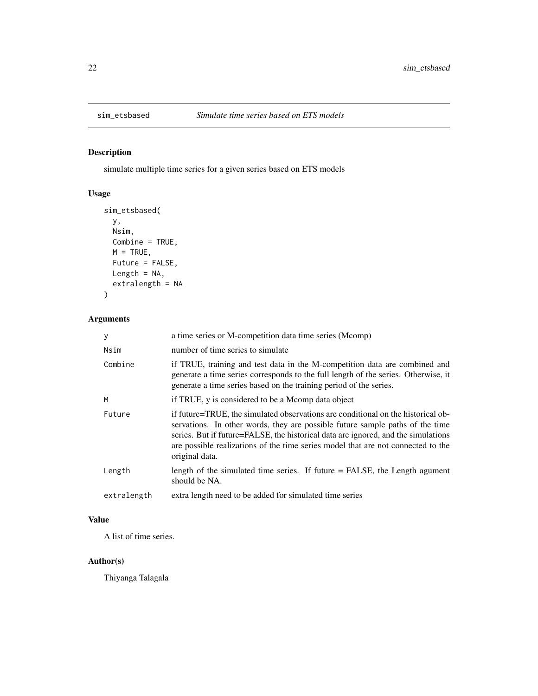<span id="page-21-0"></span>

simulate multiple time series for a given series based on ETS models

## Usage

```
sim_etsbased(
 y,
 Nsim,
 Combine = TRUE,
 M = TRUE,Future = FALSE,
 Length = NA,
 extralength = NA
)
```
## Arguments

| y           | a time series or M-competition data time series (Mcomp)                                                                                                                                                                                                                                                                                                      |  |
|-------------|--------------------------------------------------------------------------------------------------------------------------------------------------------------------------------------------------------------------------------------------------------------------------------------------------------------------------------------------------------------|--|
| Nsim        | number of time series to simulate                                                                                                                                                                                                                                                                                                                            |  |
| Combine     | if TRUE, training and test data in the M-competition data are combined and<br>generate a time series corresponds to the full length of the series. Otherwise, it<br>generate a time series based on the training period of the series.                                                                                                                       |  |
| M           | if TRUE, y is considered to be a Mcomp data object                                                                                                                                                                                                                                                                                                           |  |
| Future      | if future=TRUE, the simulated observations are conditional on the historical ob-<br>servations. In other words, they are possible future sample paths of the time<br>series. But if future=FALSE, the historical data are ignored, and the simulations<br>are possible realizations of the time series model that are not connected to the<br>original data. |  |
| Length      | length of the simulated time series. If future $=$ FALSE, the Length agument<br>should be NA.                                                                                                                                                                                                                                                                |  |
| extralength | extra length need to be added for simulated time series                                                                                                                                                                                                                                                                                                      |  |

## Value

A list of time series.

#### Author(s)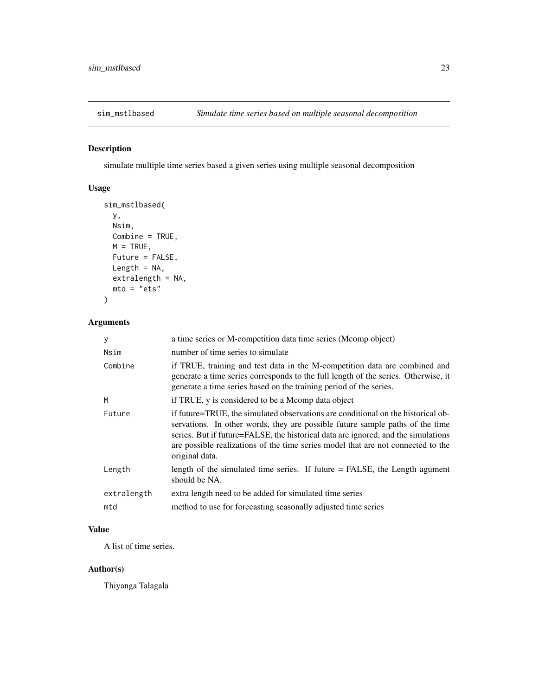<span id="page-22-0"></span>

simulate multiple time series based a given series using multiple seasonal decomposition

## Usage

```
sim_mstlbased(
 y,
 Nsim,
 Combine = TRUE,
 M = TRUE,Future = FALSE,
 Length = NA,
 extrah{eq:1} = NA,
 mtd = "ets"\mathcal{L}
```
## Arguments

| y           | a time series or M-competition data time series (Mcomp object)                                                                                                                                                                                                                                                                                               |
|-------------|--------------------------------------------------------------------------------------------------------------------------------------------------------------------------------------------------------------------------------------------------------------------------------------------------------------------------------------------------------------|
| Nsim        | number of time series to simulate                                                                                                                                                                                                                                                                                                                            |
| Combine     | if TRUE, training and test data in the M-competition data are combined and<br>generate a time series corresponds to the full length of the series. Otherwise, it<br>generate a time series based on the training period of the series.                                                                                                                       |
| M           | if TRUE, y is considered to be a Mcomp data object                                                                                                                                                                                                                                                                                                           |
| Future      | if future=TRUE, the simulated observations are conditional on the historical ob-<br>servations. In other words, they are possible future sample paths of the time<br>series. But if future=FALSE, the historical data are ignored, and the simulations<br>are possible realizations of the time series model that are not connected to the<br>original data. |
| Length      | length of the simulated time series. If future = FALSE, the Length agument<br>should be NA.                                                                                                                                                                                                                                                                  |
| extralength | extra length need to be added for simulated time series                                                                                                                                                                                                                                                                                                      |
| mtd         | method to use for forecasting seasonally adjusted time series                                                                                                                                                                                                                                                                                                |
|             |                                                                                                                                                                                                                                                                                                                                                              |

#### Value

A list of time series.

## Author(s)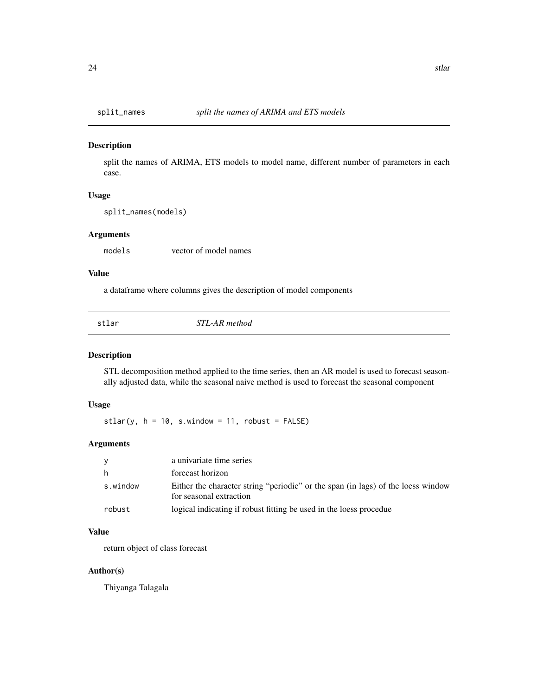<span id="page-23-0"></span>

split the names of ARIMA, ETS models to model name, different number of parameters in each case.

#### Usage

split\_names(models)

#### Arguments

models vector of model names

#### Value

a dataframe where columns gives the description of model components

| I  | ×   |
|----|-----|
| w  | . . |
|    |     |
| ۰. |     |

STL-AR method

#### Description

STL decomposition method applied to the time series, then an AR model is used to forecast seasonally adjusted data, while the seasonal naive method is used to forecast the seasonal component

#### Usage

stlar(y,  $h = 10$ , s.window = 11, robust = FALSE)

## Arguments

| - V      | a univariate time series                                                                                    |
|----------|-------------------------------------------------------------------------------------------------------------|
| h        | forecast horizon                                                                                            |
| s.window | Either the character string "periodic" or the span (in lags) of the loess window<br>for seasonal extraction |
| robust   | logical indicating if robust fitting be used in the loess procedue                                          |

## Value

return object of class forecast

## Author(s)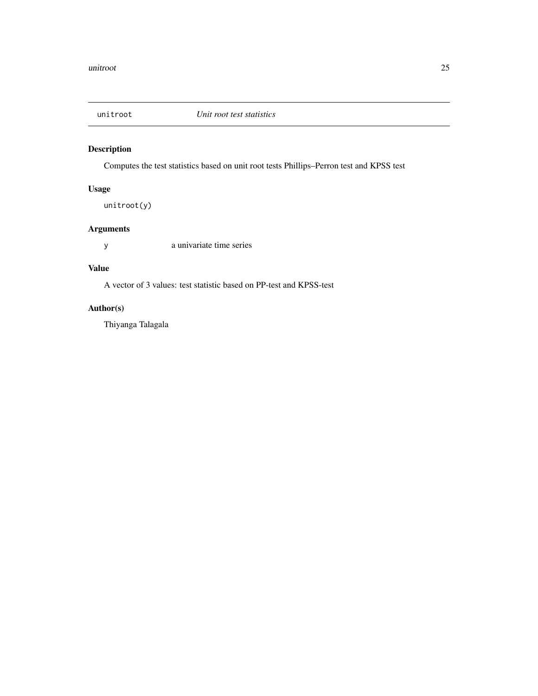<span id="page-24-0"></span>

Computes the test statistics based on unit root tests Phillips–Perron test and KPSS test

## Usage

unitroot(y)

## Arguments

y a univariate time series

## Value

A vector of 3 values: test statistic based on PP-test and KPSS-test

## Author(s)